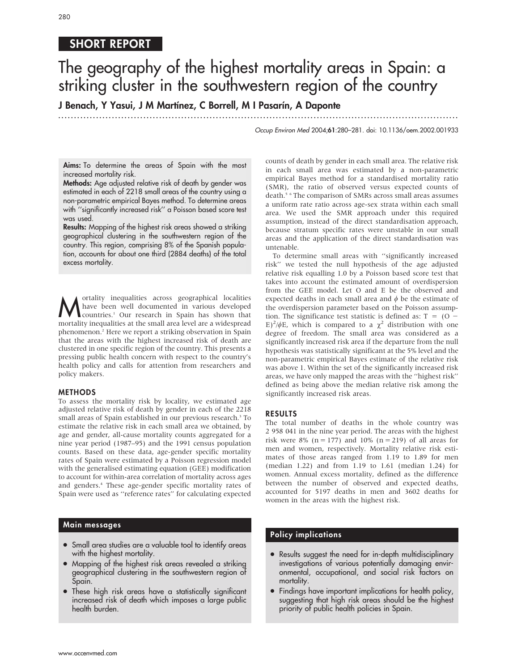# SHORT REPORT

# The geography of the highest mortality areas in Spain: a striking cluster in the southwestern region of the country

J Benach, Y Yasui, J M Martínez, C Borrell, M I Pasarín, A Daponte

.............................................................................................................................. .

Occup Environ Med 2004;61:280–281. doi: 10.1136/oem.2002.001933

Aims: To determine the areas of Spain with the most increased mortality risk.

Methods: Age adjusted relative risk of death by gender was estimated in each of 2218 small areas of the country using a non-parametric empirical Bayes method. To determine areas with "significantly increased risk" a Poisson based score test was used.

Results: Mapping of the highest risk areas showed a striking geographical clustering in the southwestern region of the country. This region, comprising 8% of the Spanish population, accounts for about one third (2884 deaths) of the total excess mortality.

**M** ortality inequalities across geographical localities<br>have been well documented in various developed<br>countries.<sup>1</sup> Our research in Spain has shown that<br>mortality inequalities at the small area level are a widespread have been well documented in various developed countries.1 Our research in Spain has shown that mortality inequalities at the small area level are a widespread phenomenon.2 Here we report a striking observation in Spain that the areas with the highest increased risk of death are clustered in one specific region of the country. This presents a pressing public health concern with respect to the country's health policy and calls for attention from researchers and policy makers.

# METHODS

To assess the mortality risk by locality, we estimated age adjusted relative risk of death by gender in each of the 2218 small areas of Spain established in our previous research.<sup>3</sup> To estimate the relative risk in each small area we obtained, by age and gender, all-cause mortality counts aggregated for a nine year period (1987–95) and the 1991 census population counts. Based on these data, age-gender specific mortality rates of Spain were estimated by a Poisson regression model with the generalised estimating equation (GEE) modification to account for within-area correlation of mortality across ages and genders.4 These age-gender specific mortality rates of Spain were used as ''reference rates'' for calculating expected

# Main messages

- Small area studies are a valuable tool to identify areas with the highest mortality.
- Mapping of the highest risk areas revealed a striking geographical clustering in the southwestern region of Spain.
- These high risk areas have a statistically significant increased risk of death which imposes a large public health burden.

counts of death by gender in each small area. The relative risk in each small area was estimated by a non-parametric empirical Bayes method for a standardised mortality ratio (SMR), the ratio of observed versus expected counts of death.5 6 The comparison of SMRs across small areas assumes a uniform rate ratio across age-sex strata within each small area. We used the SMR approach under this required assumption, instead of the direct standardisation approach, because stratum specific rates were unstable in our small areas and the application of the direct standardisation was untenable.

To determine small areas with ''significantly increased risk'' we tested the null hypothesis of the age adjusted relative risk equalling 1.0 by a Poisson based score test that takes into account the estimated amount of overdispersion from the GEE model. Let O and E be the observed and expected deaths in each small area and  $\phi$  be the estimate of the overdispersion parameter based on the Poisson assumption. The significance test statistic is defined as:  $T = (O -$ E)<sup>2</sup>/ $\phi$ E, which is compared to a  $\chi^2$  distribution with one degree of freedom. The small area was considered as a significantly increased risk area if the departure from the null hypothesis was statistically significant at the 5% level and the non-parametric empirical Bayes estimate of the relative risk was above 1. Within the set of the significantly increased risk areas, we have only mapped the areas with the ''highest risk'' defined as being above the median relative risk among the significantly increased risk areas.

# RESULTS

The total number of deaths in the whole country was 2 958 041 in the nine year period. The areas with the highest risk were 8% (n = 177) and 10% (n = 219) of all areas for men and women, respectively. Mortality relative risk estimates of those areas ranged from 1.19 to 1.89 for men (median 1.22) and from 1.19 to 1.61 (median 1.24) for women. Annual excess mortality, defined as the difference between the number of observed and expected deaths, accounted for 5197 deaths in men and 3602 deaths for women in the areas with the highest risk.

# Policy implications

- Results suggest the need for in-depth multidisciplinary investigations of various potentially damaging environmental, occupational, and social risk factors on mortality.
- Findings have important implications for health policy, suggesting that high risk areas should be the highest priority of public health policies in Spain.